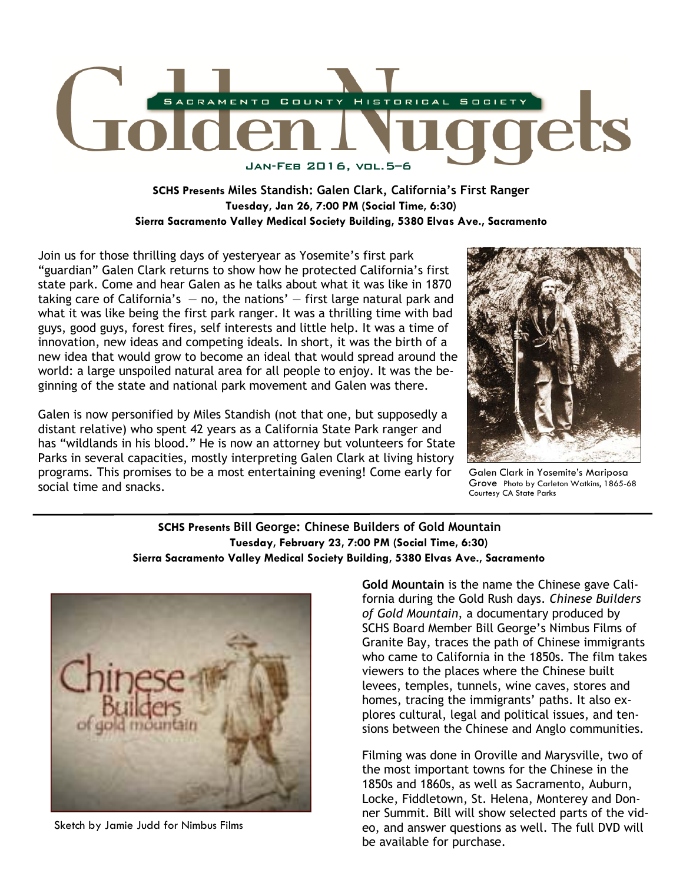

# **SCHS Presents Miles Standish: Galen Clark, California's First Ranger Tuesday, Jan 26, 7:00 PM (Social Time, 6:30) Sierra Sacramento Valley Medical Society Building, 5380 Elvas Ave., Sacramento**

Join us for those thrilling days of yesteryear as Yosemite's first park "guardian" Galen Clark returns to show how he protected California's first state park. Come and hear Galen as he talks about what it was like in 1870 taking care of California's  $-$  no, the nations'  $-$  first large natural park and what it was like being the first park ranger. It was a thrilling time with bad guys, good guys, forest fires, self interests and little help. It was a time of innovation, new ideas and competing ideals. In short, it was the birth of a new idea that would grow to become an ideal that would spread around the world: a large unspoiled natural area for all people to enjoy. It was the beginning of the state and national park movement and Galen was there.

Galen is now personified by Miles Standish (not that one, but supposedly a distant relative) who spent 42 years as a California State Park ranger and has "wildlands in his blood." He is now an attorney but volunteers for State Parks in several capacities, mostly interpreting Galen Clark at living history programs. This promises to be a most entertaining evening! Come early for social time and snacks.



Galen Clark in Yosemite's Mariposa Grove Photo by Carleton Watkins, 1865-68 Courtesy CA State Parks

### **SCHS Presents Bill George: Chinese Builders of Gold Mountain Tuesday, February 23, 7:00 PM (Social Time, 6:30) Sierra Sacramento Valley Medical Society Building, 5380 Elvas Ave., Sacramento**



Sketch by Jamie Judd for Nimbus Films

**Gold Mountain** is the name the Chinese gave California during the Gold Rush days. *Chinese Builders of Gold Mountain*, a documentary produced by SCHS Board Member Bill George's Nimbus Films of Granite Bay, traces the path of Chinese immigrants who came to California in the 1850s. The film takes viewers to the places where the Chinese built levees, temples, tunnels, wine caves, stores and homes, tracing the immigrants' paths. It also explores cultural, legal and political issues, and tensions between the Chinese and Anglo communities.

Filming was done in Oroville and Marysville, two of the most important towns for the Chinese in the 1850s and 1860s, as well as Sacramento, Auburn, Locke, Fiddletown, St. Helena, Monterey and Donner Summit. Bill will show selected parts of the video, and answer questions as well. The full DVD will be available for purchase.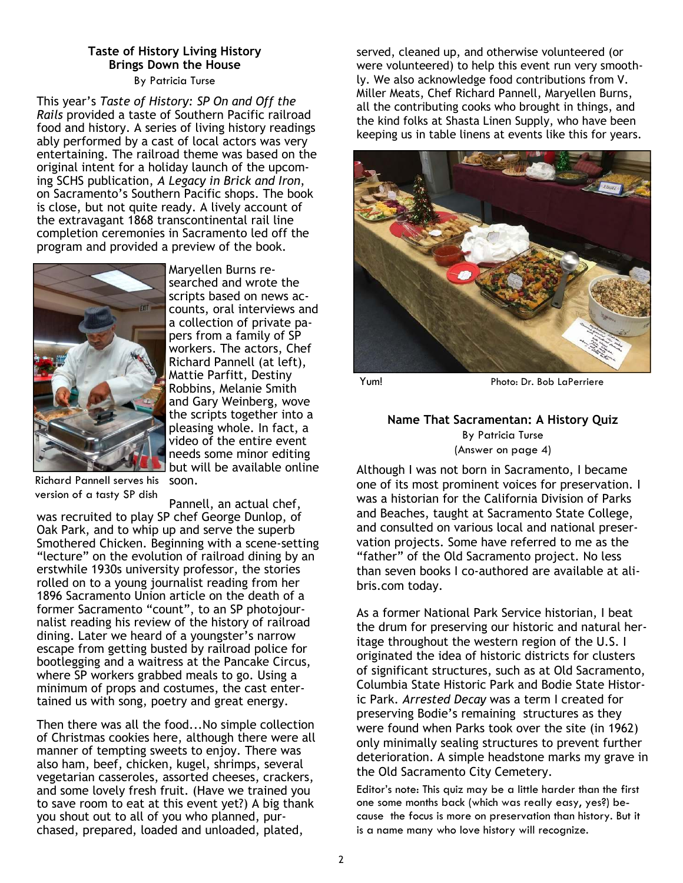#### **Taste of History Living History Brings Down the House**  By Patricia Turse

 This year's *Taste of History: SP On and Off the Rails* provided a taste of Southern Pacific railroad food and history. A series of living history readings ably performed by a cast of local actors was very entertaining. The railroad theme was based on the original intent for a holiday launch of the upcoming SCHS publication, *A Legacy in Brick and Iron*, on Sacramento's Southern Pacific shops. The book is close, but not quite ready. A lively account of the extravagant 1868 transcontinental rail line completion ceremonies in Sacramento led off the program and provided a preview of the book.



Maryellen Burns researched and wrote the scripts based on news accounts, oral interviews and a collection of private papers from a family of SP workers. The actors, Chef Richard Pannell (at left), Mattie Parfitt, Destiny Robbins, Melanie Smith and Gary Weinberg, wove the scripts together into a pleasing whole. In fact, a video of the entire event needs some minor editing but will be available online

Richard Pannell serves his version of a tasty SP dish

soon.

Pannell, an actual chef, was recruited to play SP chef George Dunlop, of Oak Park, and to whip up and serve the superb Smothered Chicken. Beginning with a scene-setting "lecture" on the evolution of railroad dining by an erstwhile 1930s university professor, the stories rolled on to a young journalist reading from her 1896 Sacramento Union article on the death of a former Sacramento "count", to an SP photojournalist reading his review of the history of railroad dining. Later we heard of a youngster's narrow escape from getting busted by railroad police for bootlegging and a waitress at the Pancake Circus, where SP workers grabbed meals to go. Using a minimum of props and costumes, the cast entertained us with song, poetry and great energy.

Then there was all the food...No simple collection of Christmas cookies here, although there were all manner of tempting sweets to enjoy. There was also ham, beef, chicken, kugel, shrimps, several vegetarian casseroles, assorted cheeses, crackers, and some lovely fresh fruit. (Have we trained you to save room to eat at this event yet?) A big thank you shout out to all of you who planned, purchased, prepared, loaded and unloaded, plated,

served, cleaned up, and otherwise volunteered (or were volunteered) to help this event run very smoothly. We also acknowledge food contributions from V. Miller Meats, Chef Richard Pannell, Maryellen Burns, all the contributing cooks who brought in things, and the kind folks at Shasta Linen Supply, who have been keeping us in table linens at events like this for years.



Yum! Photo: Dr. Bob LaPerriere

## **Name That Sacramentan: A History Quiz**  By Patricia Turse (Answer on page 4)

Although I was not born in Sacramento, I became one of its most prominent voices for preservation. I was a historian for the California Division of Parks and Beaches, taught at Sacramento State College, and consulted on various local and national preservation projects. Some have referred to me as the "father" of the Old Sacramento project. No less than seven books I co-authored are available at alibris.com today.

As a former National Park Service historian, I beat the drum for preserving our historic and natural heritage throughout the western region of the U.S. I originated the idea of historic districts for clusters of significant structures, such as at Old Sacramento, Columbia State Historic Park and Bodie State Historic Park. *Arrested Decay* was a term I created for preserving Bodie's remaining structures as they were found when Parks took over the site (in 1962) only minimally sealing structures to prevent further deterioration. A simple headstone marks my grave in the Old Sacramento City Cemetery.

Editor's note: This quiz may be a little harder than the first one some months back (which was really easy, yes?) because the focus is more on preservation than history. But it is a name many who love history will recognize.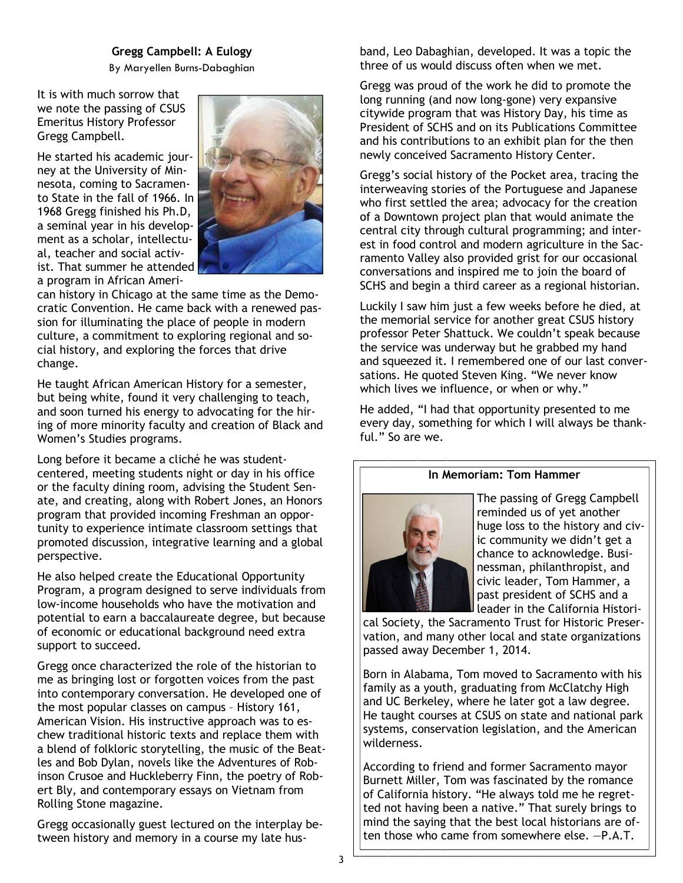### **Gregg Campbell: A Eulogy**

By Maryellen Burns-Dabaghian

It is with much sorrow that we note the passing of CSUS Emeritus History Professor Gregg Campbell.

He started his academic journey at the University of Minnesota, coming to Sacramento State in the fall of 1966. In 1968 Gregg finished his Ph.D, a seminal year in his development as a scholar, intellectual, teacher and social activist. That summer he attended a program in African Ameri-



can history in Chicago at the same time as the Democratic Convention. He came back with a renewed passion for illuminating the place of people in modern culture, a commitment to exploring regional and social history, and exploring the forces that drive change.

He taught African American History for a semester, but being white, found it very challenging to teach, and soon turned his energy to advocating for the hiring of more minority faculty and creation of Black and Women's Studies programs.

Long before it became a cliché he was studentcentered, meeting students night or day in his office or the faculty dining room, advising the Student Senate, and creating, along with Robert Jones, an Honors program that provided incoming Freshman an opportunity to experience intimate classroom settings that promoted discussion, integrative learning and a global perspective.

He also helped create the Educational Opportunity Program, a program designed to serve individuals from low-income households who have the motivation and potential to earn a baccalaureate degree, but because of economic or educational background need extra support to succeed.

Gregg once characterized the role of the historian to me as bringing lost or forgotten voices from the past into contemporary conversation. He developed one of the most popular classes on campus – History 161, American Vision. His instructive approach was to eschew traditional historic texts and replace them with a blend of folkloric storytelling, the music of the Beatles and Bob Dylan, novels like the Adventures of Robinson Crusoe and Huckleberry Finn, the poetry of Robert Bly, and contemporary essays on Vietnam from Rolling Stone magazine.

Gregg occasionally guest lectured on the interplay between history and memory in a course my late husband, Leo Dabaghian, developed. It was a topic the three of us would discuss often when we met.

Gregg was proud of the work he did to promote the long running (and now long-gone) very expansive citywide program that was History Day, his time as President of SCHS and on its Publications Committee and his contributions to an exhibit plan for the then newly conceived Sacramento History Center.

Gregg's social history of the Pocket area, tracing the interweaving stories of the Portuguese and Japanese who first settled the area; advocacy for the creation of a Downtown project plan that would animate the central city through cultural programming; and interest in food control and modern agriculture in the Sacramento Valley also provided grist for our occasional conversations and inspired me to join the board of SCHS and begin a third career as a regional historian.

Luckily I saw him just a few weeks before he died, at the memorial service for another great CSUS history professor Peter Shattuck. We couldn't speak because the service was underway but he grabbed my hand and squeezed it. I remembered one of our last conversations. He quoted Steven King. "We never know which lives we influence, or when or why."

He added, "I had that opportunity presented to me every day, something for which I will always be thankful." So are we.





The passing of Gregg Campbell reminded us of yet another huge loss to the history and civic community we didn't get a chance to acknowledge. Businessman, philanthropist, and civic leader, Tom Hammer, a past president of SCHS and a leader in the California Histori-

cal Society, the Sacramento Trust for Historic Preservation, and many other local and state organizations passed away December 1, 2014.

Born in Alabama, Tom moved to Sacramento with his family as a youth, graduating from McClatchy High and UC Berkeley, where he later got a law degree. He taught courses at CSUS on state and national park systems, conservation legislation, and the American wilderness.

According to friend and former Sacramento mayor Burnett Miller, Tom was fascinated by the romance of California history. "He always told me he regretted not having been a native." That surely brings to mind the saying that the best local historians are often those who came from somewhere else. —P.A.T.